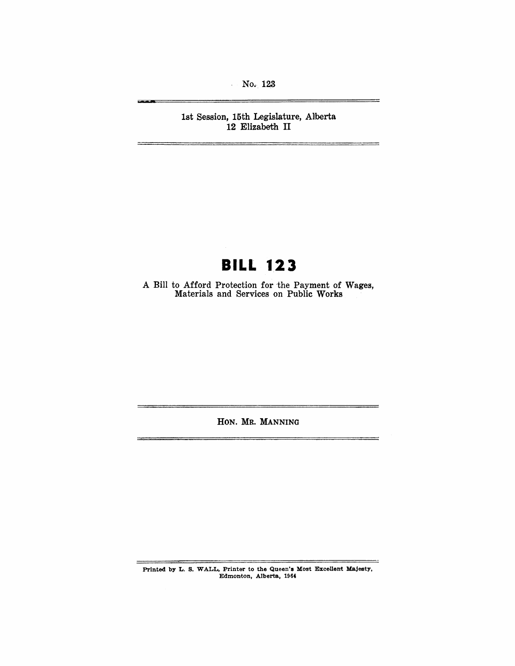No. 123  $\hat{A}$ 

**M** 

1st Session, 15th Legislature, Alberta 12 Elizabeth II

## **BILL 123**

A Bill to Afford Protection for the Payment of Wages, Materials and Services on Public Works

HON. MR. MANNING

 $\overline{\phantom{0}}$ 

 $\overline{\phantom{0}}$ 

 $\equiv$ 

Printed by L. S. WALL, Printer to the Queen's Most Excellent Majesty, Edmonton, Alberta, 1964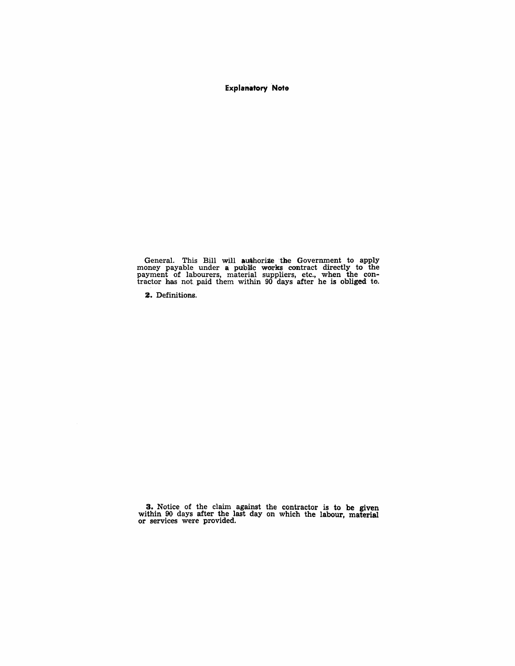Explanatory Note

General. This Bill will authorize the Government to apply money payable under a public works contract directly to the payment of labourers, material suppliers, etc., when the con-<br>tractor has not paid them within 90 days after he is obliged to.

2. Definitions.

3. Notice of the claim against the contractor is to be given within 90 days after the last day on which the labour, material or services were provided.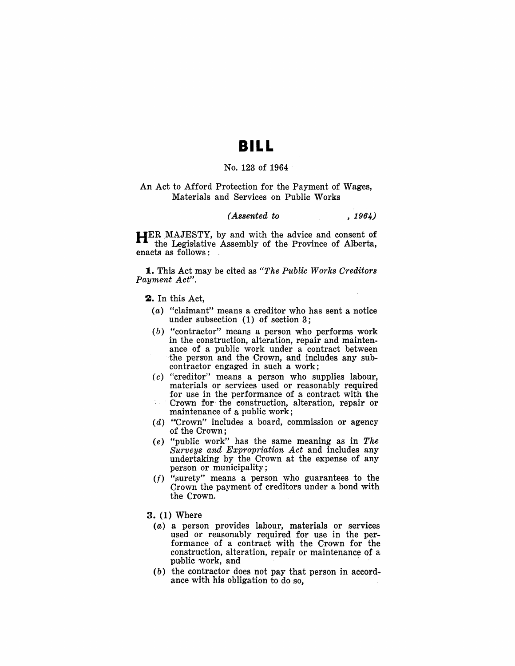### **BILL**

#### No. 123 of 1964

#### An Act to Afford Protection for the Payment of Wages, Materials and Services on Public Works

#### *(Assented to* , 1964)

HER MAJESTY, by and with the advice and consent of the Legislative Assembly of the Province of Alberta, enacts as follows:

**1.** This Act may be cited as "The Public Works Creditors" *Payment Act".* 

2. In this Act,

- (a) "claimant" means a creditor who has sent a notice under subsection  $(1)$  of section 3;
- (b) "contractor" means a person who performs work in the construction, alteration, repair and maintenance of a public work under a contract between the person and the Crown, and includes any subcontractor engaged in such a work;
- (c) "creditor" means a person who supplies labour, materials or services used or reasonably required for use in the performance of a contract with the
- Crown for the construction, alteration, repair or maintenance of a public work;
- $(d)$  "Crown" includes a board, commission or agency of the Crown;
- *(e)* "puhlic work" has the same meaning as in *The Surveys and Expropriation Act* and includes any undertaking by the Crown at the expense of any person or municipality;
- $(f)$  "surety" means a person who guarantees to the Crown the payment of creditors under a bond with the Crown.
- 3. (1) Where
	- (a) a person provides labour, materials or services used or reasonably required for use in the performance of a contract with the Crown for the construction, alteration, repair or maintenance of a formance of a contract with the Crown for<br>construction, alteration, repair or maintenance<br>public work, and
	- (b) the contractor does not pay that person in accordance with his obligation to do so,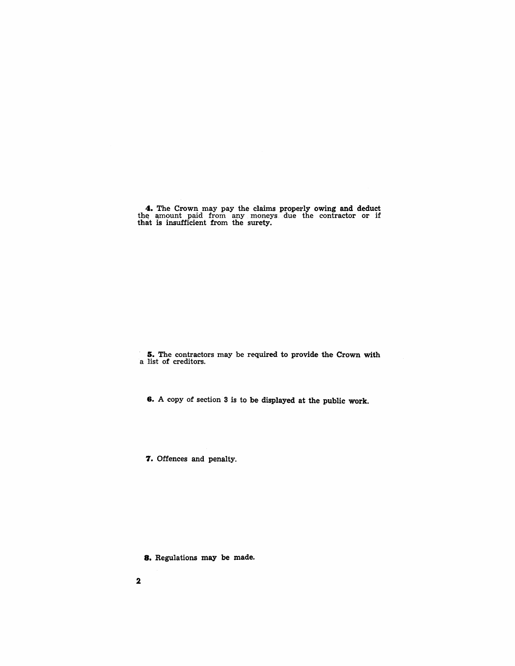4. The Crown may pay the claims properly owing and deduct the amount paid from any moneys due the contractor or if that is insufficient from the surety.

5. The contractors may be required to provide the Crown with a list of creditors.

8. A copy of section 3 is to be displayed at the public work.

7. Offences and penalty.

8. Regulations may be made.

2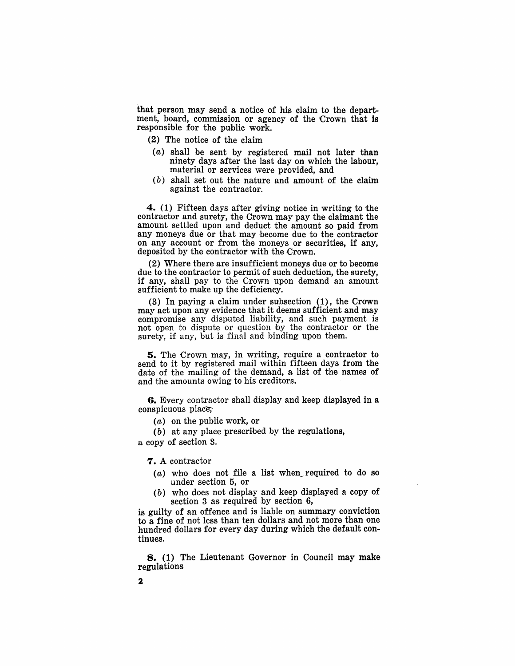that person may send a notice of his claim to the department, board, commission or agency of the Crown that is responsible for the public work.

- (2) The notice of the claim
- $(a)$  shall be sent by registered mail not later than ninety days after the last day on which the labour, ma terial or services were provided, and
- (b) shall set out the nature and amount of the claim against the contractor.

4. (1) Fifteen days after giving notice in writing to the contractor and surety, the Crown may-pay the claimant the amount settled upon and deduct the amount so paid from any moneys due or that may become due to the contractor on any account or from the moneys or securities, if any, deposited by the contractor with the Crown.

(2) Where there are insufficient moneys due or to become due to the contractor to permit of such deduction, the surety, if any, shall pay to the Crown upon demand an amount sufficient to make up the deficiency.

(3) In paying a claim under subsection (1), the Crown may act upon any evidence that it deems sufficient and may compromise any disputed liability, and such payment is not open to dispute or question by the contractor or the surety, if any, but is final and binding upon them.

5. The Crown may, in writing, require a contractor to send to it by registered mail within fifteen days from the date of the mailing of the demand, a list of the names of and the amounts owing to his creditors.

6. Every contractor shall display and keep displayed in a conspicuous place,

(a) on the public work, or

(b) at any place prescribed by the regulations,

a copy of section 3.

7. A contractor

- $(a)$  who does not file a list when required to do so under section 5, or
- (b) who does not display and keep displayed a copy of section 3 as required by section 6,

is guilty of an offence and is liable on summary conviction to a fine of not less than ten dollars and not more than one hundred dollars for every day during which the default continues.

8. (1) The Lieutenant Governor in Council may make regulations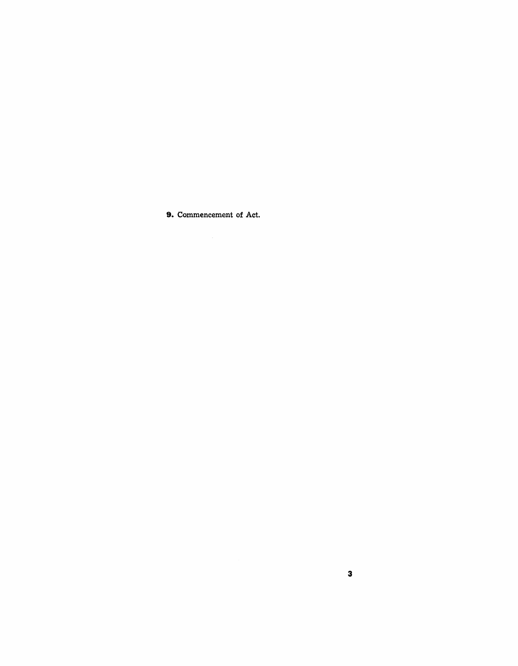**9.** Commencement of Act.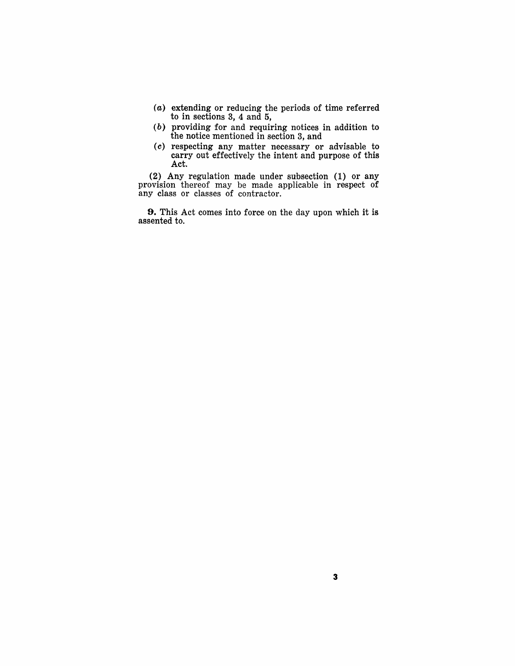- (a) extending or reducing the periods of time referred to in sections 3, 4 and 5,
- ( *b* ) providing for and requiring notices in addition to the notice mentioned in section 3, and
- (0) respecting any matter necessary or advisable to carry out effectively the intent and purpose of this Act.

(2) Any regulation made under subsection (1) or any provision thereof may be made applicable in respect of any class or classes of contractor.

**9.** This Act comes into force on the day upon which it is assented to.